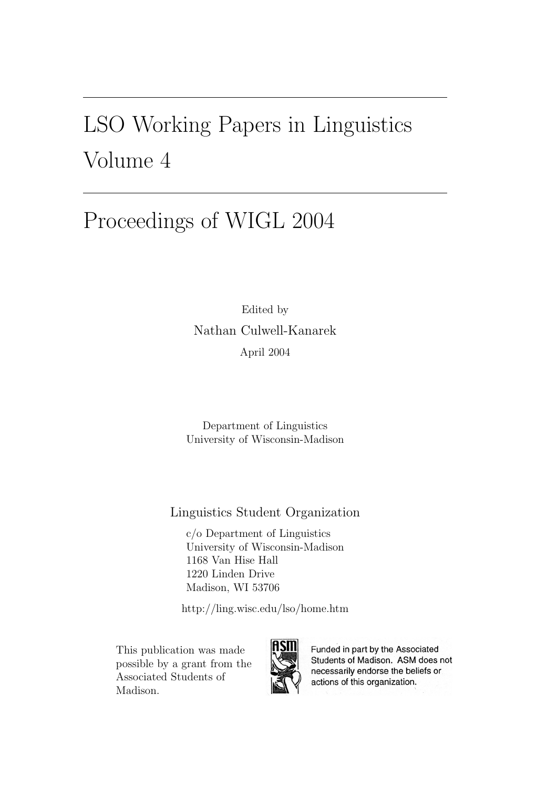## LSO Working Papers in Linguistics Volume 4

## Proceedings of WIGL 2004

Edited by Nathan Culwell-Kanarek April 2004

Department of Linguistics University of Wisconsin-Madison

Linguistics Student Organization

c/o Department of Linguistics University of Wisconsin-Madison 1168 Van Hise Hall 1220 Linden Drive Madison, WI 53706

http://ling.wisc.edu/lso/home.htm

This publication was made possible by a grant from the Associated Students of Madison.



Funded in part by the Associated Students of Madison. ASM does not necessarily endorse the beliefs or actions of this organization.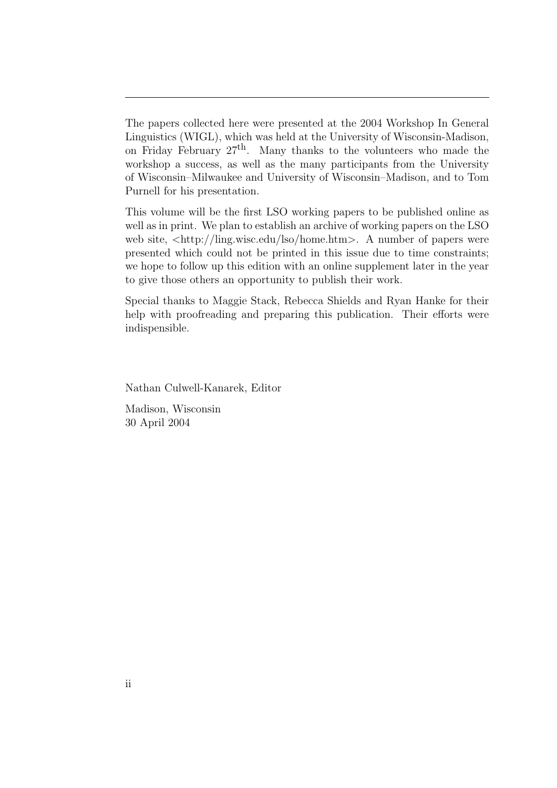The papers collected here were presented at the 2004 Workshop In General Linguistics (WIGL), which was held at the University of Wisconsin-Madison, on Friday February  $27<sup>th</sup>$ . Many thanks to the volunteers who made the workshop a success, as well as the many participants from the University of Wisconsin–Milwaukee and University of Wisconsin–Madison, and to Tom Purnell for his presentation.

This volume will be the first LSO working papers to be published online as well as in print. We plan to establish an archive of working papers on the LSO web site,  $\langle \text{http://ling.wisc.edu/Iso/home.htm>}. A number of papers were$ presented which could not be printed in this issue due to time constraints; we hope to follow up this edition with an online supplement later in the year to give those others an opportunity to publish their work.

Special thanks to Maggie Stack, Rebecca Shields and Ryan Hanke for their help with proofreading and preparing this publication. Their efforts were indispensible.

Nathan Culwell-Kanarek, Editor

Madison, Wisconsin 30 April 2004